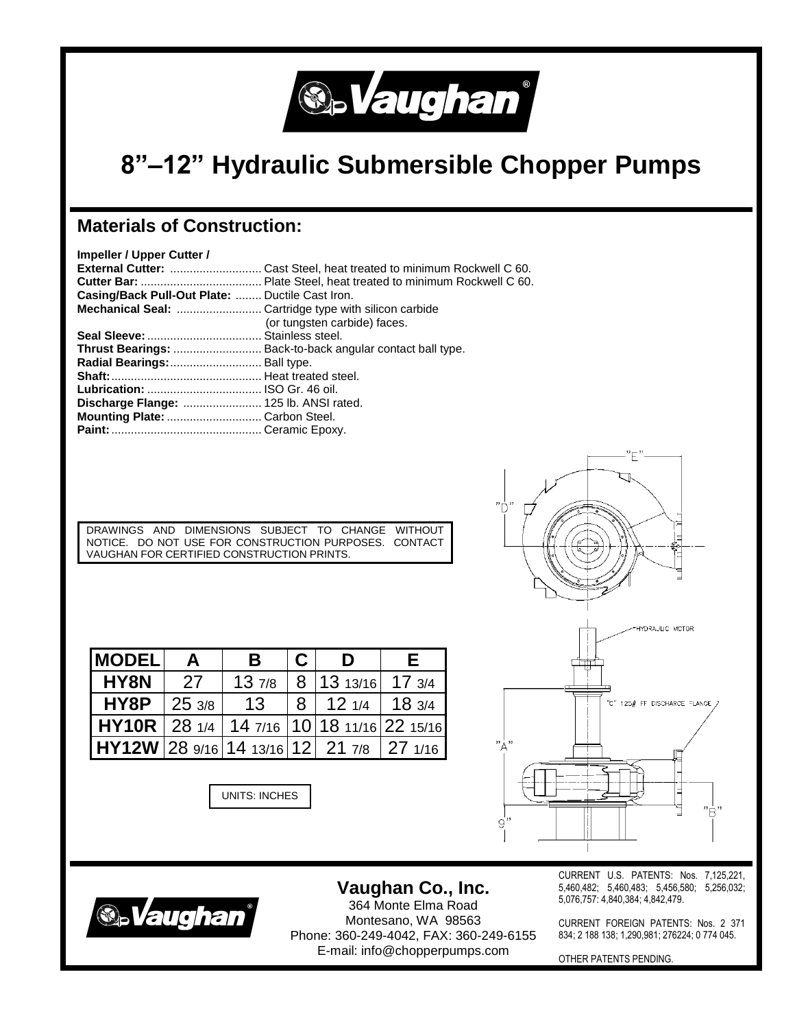

## **8"–12" Hydraulic Submersible Chopper Pumps**

## **Materials of Construction:**

| Impeller / Upper Cutter /                       |                                                                 |
|-------------------------------------------------|-----------------------------------------------------------------|
|                                                 |                                                                 |
|                                                 |                                                                 |
| Casing/Back Pull-Out Plate:  Ductile Cast Iron. |                                                                 |
|                                                 |                                                                 |
|                                                 | (or tungsten carbide) faces.                                    |
|                                                 |                                                                 |
|                                                 | <b>Thrust Bearings:</b> Back-to-back angular contact ball type. |
| Radial Bearings: Ball type.                     |                                                                 |
|                                                 |                                                                 |
|                                                 |                                                                 |
| Discharge Flange:  125 lb. ANSI rated.          |                                                                 |
| Mounting Plate:  Carbon Steel.                  |                                                                 |
|                                                 |                                                                 |
|                                                 |                                                                 |

DRAWINGS AND DIMENSIONS SUBJECT TO CHANGE WITHOUT NOTICE. DO NOT USE FOR CONSTRUCTION PURPOSES. CONTACT VAUGHAN FOR CERTIFIED CONSTRUCTION PRINTS.

| <b>IMODEL</b>                        | A     | B     | C | D                            | E.    |
|--------------------------------------|-------|-------|---|------------------------------|-------|
| HY8N                                 | 27    | 137/8 |   | 8   13 13/16                 | 173/4 |
| HY8P                                 | 253/8 | 13    |   | $8 \mid 12 \frac{1}{4}$      | 183/4 |
| $HY10R$   28 $_{1/4}$                |       |       |   | 14 7/16 10 18 11/16 22 15/16 |       |
| HY12W 289/16 1413/16 12 217/8 271/16 |       |       |   |                              |       |

UNITS: INCHES





**Vaughan Co., Inc.** 364 Monte Elma Road Montesano, WA 98563 Phone: 360-249-4042, FAX: 360-249-6155 E-mail: info@chopperpumps.com

CURRENT U.S. PATENTS: Nos. 7,125,221, 5,460,482; 5,460,483; 5,456,580; 5,256,032; 5,076,757: 4,840,384; 4,842,479.

CURRENT FOREIGN PATENTS: Nos. 2 371 834; 2 188 138; 1,290,981; 276224; 0 774 045.

OTHER PATENTS PENDING.